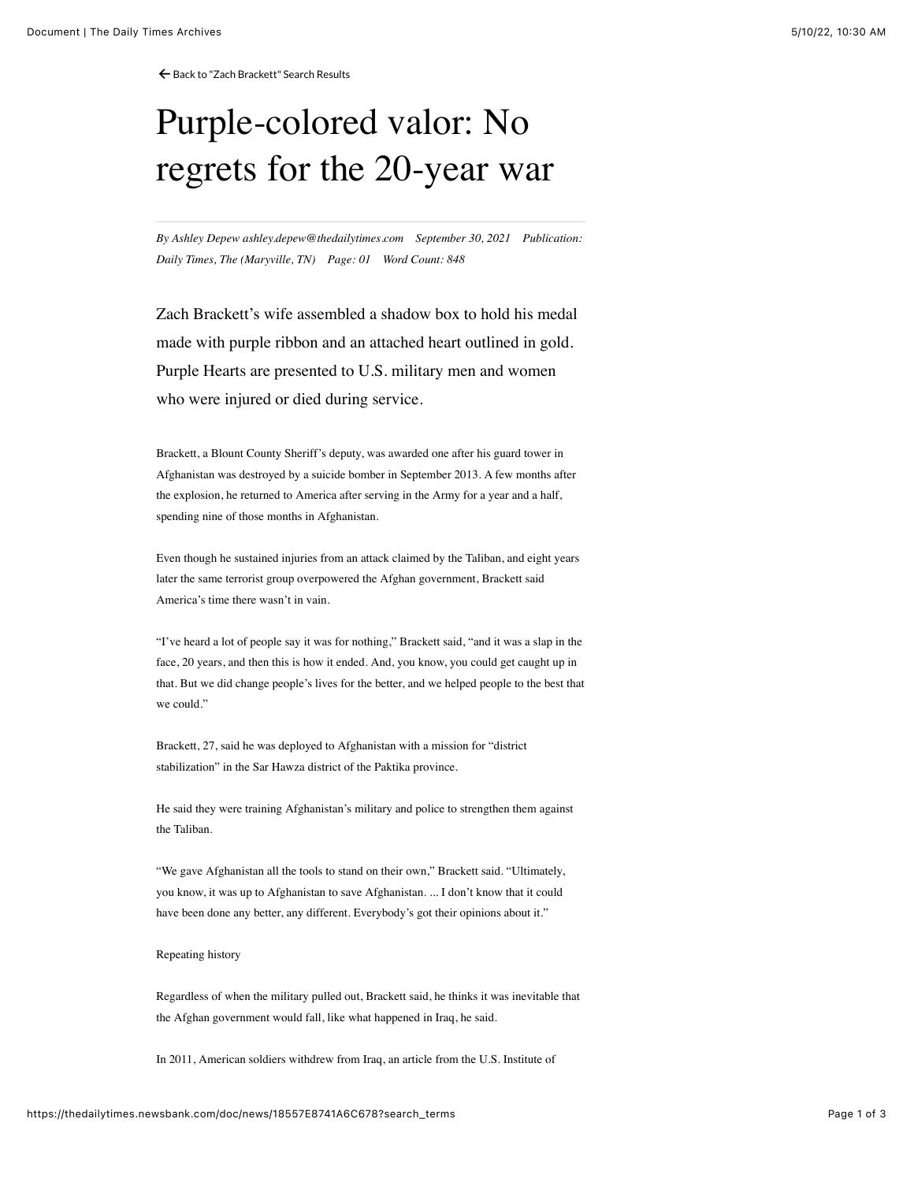← [Back to "Zach Brackett" Search Results](https://thedailytimes.newsbank.com/search?text=zach%20brackett&pub%5B0%5D=MDTB)

## Purple-colored valor: No regrets for the 20-year war

*By Ashley Depew ashley.depew@thedailytimes.com September 30, 2021 Publication: Daily Times, The (Maryville, TN) Page: 01 Word Count: 848*

Zach Brackett's wife assembled a shadow box to hold his medal made with purple ribbon and an attached heart outlined in gold. Purple Hearts are presented to U.S. military men and women who were injured or died during service.

Brackett, a Blount County Sheriff's deputy, was awarded one after his guard tower in Afghanistan was destroyed by a suicide bomber in September 2013. A few months after the explosion, he returned to America after serving in the Army for a year and a half, spending nine of those months in Afghanistan.

Even though he sustained injuries from an attack claimed by the Taliban, and eight years later the same terrorist group overpowered the Afghan government, Brackett said America's time there wasn't in vain.

"I've heard a lot of people say it was for nothing," Brackett said, "and it was a slap in the face, 20 years, and then this is how it ended. And, you know, you could get caught up in that. But we did change people's lives for the better, and we helped people to the best that we could."

Brackett, 27, said he was deployed to Afghanistan with a mission for "district stabilization" in the Sar Hawza district of the Paktika province.

He said they were training Afghanistan's military and police to strengthen them against the Taliban.

"We gave Afghanistan all the tools to stand on their own," Brackett said. "Ultimately, you know, it was up to Afghanistan to save Afghanistan. ... I don't know that it could have been done any better, any different. Everybody's got their opinions about it."

## Repeating history

Regardless of when the military pulled out, Brackett said, he thinks it was inevitable that the Afghan government would fall, like what happened in Iraq, he said.

In 2011, American soldiers withdrew from Iraq, an article from the U.S. Institute of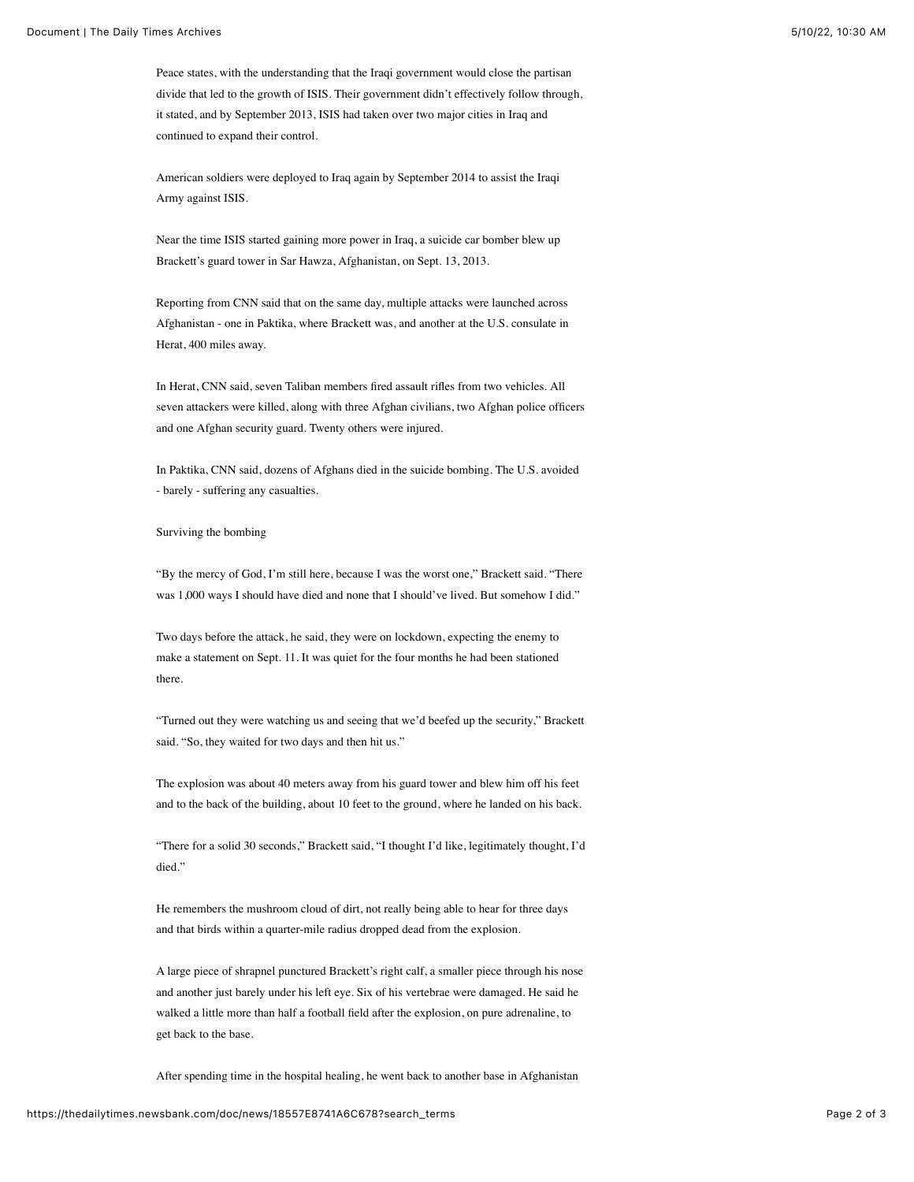Peace states, with the understanding that the Iraqi government would close the partisan divide that led to the growth of ISIS. Their government didn't effectively follow through, it stated, and by September 2013, ISIS had taken over two major cities in Iraq and continued to expand their control.

American soldiers were deployed to Iraq again by September 2014 to assist the Iraqi Army against ISIS.

Near the time ISIS started gaining more power in Iraq, a suicide car bomber blew up Brackett's guard tower in Sar Hawza, Afghanistan, on Sept. 13, 2013.

Reporting from CNN said that on the same day, multiple attacks were launched across Afghanistan - one in Paktika, where Brackett was, and another at the U.S. consulate in Herat, 400 miles away.

In Herat, CNN said, seven Taliban members fired assault rifles from two vehicles. All seven attackers were killed, along with three Afghan civilians, two Afghan police officers and one Afghan security guard. Twenty others were injured.

In Paktika, CNN said, dozens of Afghans died in the suicide bombing. The U.S. avoided - barely - suffering any casualties.

## Surviving the bombing

"By the mercy of God, I'm still here, because I was the worst one," Brackett said. "There was 1,000 ways I should have died and none that I should've lived. But somehow I did."

Two days before the attack, he said, they were on lockdown, expecting the enemy to make a statement on Sept. 11. It was quiet for the four months he had been stationed there.

"Turned out they were watching us and seeing that we'd beefed up the security," Brackett said. "So, they waited for two days and then hit us."

The explosion was about 40 meters away from his guard tower and blew him off his feet and to the back of the building, about 10 feet to the ground, where he landed on his back.

"There for a solid 30 seconds," Brackett said, "I thought I'd like, legitimately thought, I'd died."

He remembers the mushroom cloud of dirt, not really being able to hear for three days and that birds within a quarter-mile radius dropped dead from the explosion.

A large piece of shrapnel punctured Brackett's right calf, a smaller piece through his nose and another just barely under his left eye. Six of his vertebrae were damaged. He said he walked a little more than half a football field after the explosion, on pure adrenaline, to get back to the base.

After spending time in the hospital healing, he went back to another base in Afghanistan